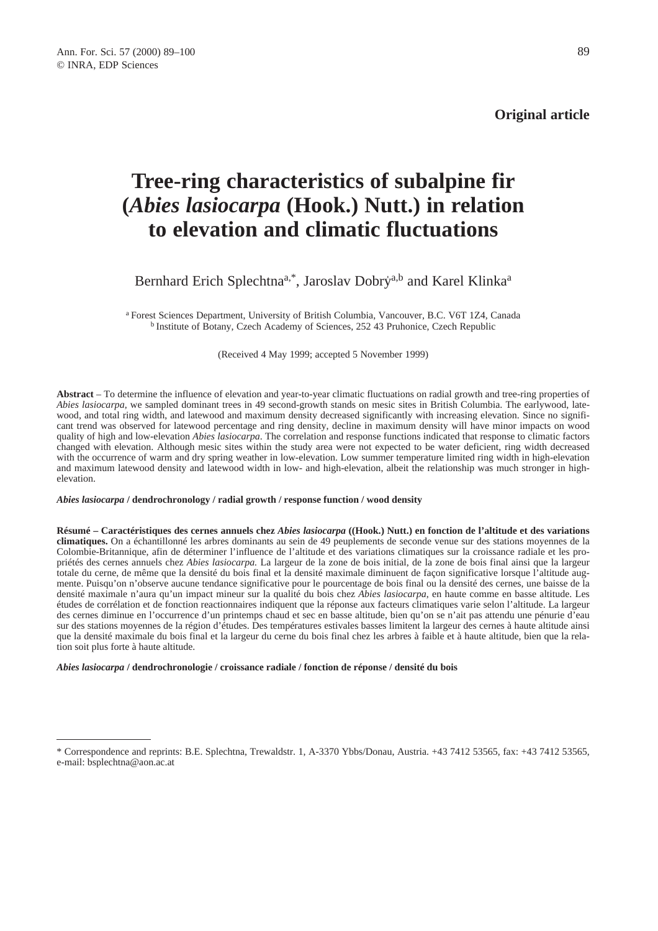**Original article**

# **Tree-ring characteristics of subalpine fir (***Abies lasiocarpa* **(Hook.) Nutt.) in relation to elevation and climatic fluctuations**

# Bernhard Erich Splechtna<sup>a,\*</sup>, Jaroslav Dobry<sup>a,b</sup> and Karel Klinka<sup>a</sup>

a Forest Sciences Department, University of British Columbia, Vancouver, B.C. V6T 1Z4, Canada b Institute of Botany, Czech Academy of Sciences, 252 43 Pruhonice, Czech Republic

(Received 4 May 1999; accepted 5 November 1999)

**Abstract** – To determine the influence of elevation and year-to-year climatic fluctuations on radial growth and tree-ring properties of *Abies lasiocarpa*, we sampled dominant trees in 49 second-growth stands on mesic sites in British Columbia. The earlywood, latewood, and total ring width, and latewood and maximum density decreased significantly with increasing elevation. Since no significant trend was observed for latewood percentage and ring density, decline in maximum density will have minor impacts on wood quality of high and low-elevation *Abies lasiocarpa*. The correlation and response functions indicated that response to climatic factors changed with elevation. Although mesic sites within the study area were not expected to be water deficient, ring width decreased with the occurrence of warm and dry spring weather in low-elevation. Low summer temperature limited ring width in high-elevation and maximum latewood density and latewood width in low- and high-elevation, albeit the relationship was much stronger in highelevation.

#### *Abies lasiocarpa* **/ dendrochronology / radial growth / response function / wood density**

**Résumé – Caractéristiques des cernes annuels chez** *Abies lasiocarpa* **((Hook.) Nutt.) en fonction de l'altitude et des variations climatiques.** On a échantillonné les arbres dominants au sein de 49 peuplements de seconde venue sur des stations moyennes de la Colombie-Britannique, afin de déterminer l'influence de l'altitude et des variations climatiques sur la croissance radiale et les propriétés des cernes annuels chez *Abies lasiocarpa.* La largeur de la zone de bois initial, de la zone de bois final ainsi que la largeur totale du cerne, de même que la densité du bois final et la densité maximale diminuent de façon significative lorsque l'altitude augmente. Puisqu'on n'observe aucune tendance significative pour le pourcentage de bois final ou la densité des cernes, une baisse de la densité maximale n'aura qu'un impact mineur sur la qualité du bois chez *Abies lasiocarpa*, en haute comme en basse altitude. Les études de corrélation et de fonction reactionnaires indiquent que la réponse aux facteurs climatiques varie selon l'altitude. La largeur des cernes diminue en l'occurrence d'un printemps chaud et sec en basse altitude, bien qu'on se n'ait pas attendu une pénurie d'eau sur des stations moyennes de la région d'études. Des températures estivales basses limitent la largeur des cernes à haute altitude ainsi que la densité maximale du bois final et la largeur du cerne du bois final chez les arbres à faible et à haute altitude, bien que la relation soit plus forte à haute altitude.

#### *Abies lasiocarpa* **/ dendrochronologie / croissance radiale / fonction de réponse / densité du bois**

<sup>\*</sup> Correspondence and reprints: B.E. Splechtna, Trewaldstr. 1, A-3370 Ybbs/Donau, Austria. +43 7412 53565, fax: +43 7412 53565, e-mail: bsplechtna@aon.ac.at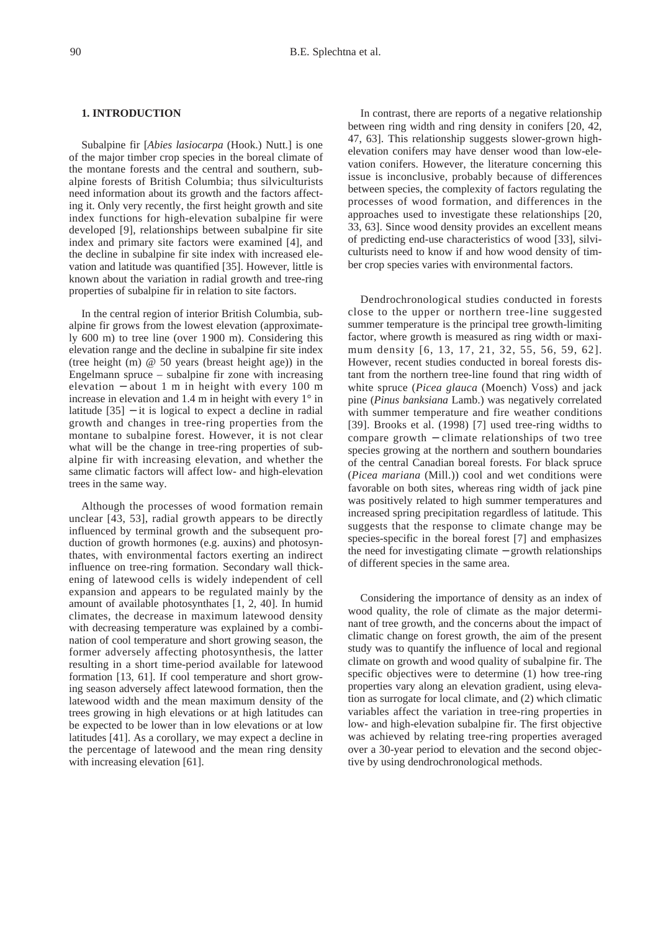#### **1. INTRODUCTION**

Subalpine fir [*Abies lasiocarpa* (Hook.) Nutt.] is one of the major timber crop species in the boreal climate of the montane forests and the central and southern, subalpine forests of British Columbia; thus silviculturists need information about its growth and the factors affecting it. Only very recently, the first height growth and site index functions for high-elevation subalpine fir were developed [9], relationships between subalpine fir site index and primary site factors were examined [4], and the decline in subalpine fir site index with increased elevation and latitude was quantified [35]. However, little is known about the variation in radial growth and tree-ring properties of subalpine fir in relation to site factors.

In the central region of interior British Columbia, subalpine fir grows from the lowest elevation (approximately 600 m) to tree line (over 1 900 m). Considering this elevation range and the decline in subalpine fir site index (tree height (m) @ 50 years (breast height age)) in the Engelmann spruce – subalpine fir zone with increasing elevation − about 1 m in height with every 100 m increase in elevation and 1.4 m in height with every 1° in latitude  $[35]$  – it is logical to expect a decline in radial growth and changes in tree-ring properties from the montane to subalpine forest. However, it is not clear what will be the change in tree-ring properties of subalpine fir with increasing elevation, and whether the same climatic factors will affect low- and high-elevation trees in the same way.

Although the processes of wood formation remain unclear [43, 53], radial growth appears to be directly influenced by terminal growth and the subsequent production of growth hormones (e.g. auxins) and photosynthates, with environmental factors exerting an indirect influence on tree-ring formation. Secondary wall thickening of latewood cells is widely independent of cell expansion and appears to be regulated mainly by the amount of available photosynthates [1, 2, 40]. In humid climates, the decrease in maximum latewood density with decreasing temperature was explained by a combination of cool temperature and short growing season, the former adversely affecting photosynthesis, the latter resulting in a short time-period available for latewood formation [13, 61]. If cool temperature and short growing season adversely affect latewood formation, then the latewood width and the mean maximum density of the trees growing in high elevations or at high latitudes can be expected to be lower than in low elevations or at low latitudes [41]. As a corollary, we may expect a decline in the percentage of latewood and the mean ring density with increasing elevation [61].

In contrast, there are reports of a negative relationship between ring width and ring density in conifers [20, 42, 47, 63]. This relationship suggests slower-grown highelevation conifers may have denser wood than low-elevation conifers. However, the literature concerning this issue is inconclusive, probably because of differences between species, the complexity of factors regulating the processes of wood formation, and differences in the approaches used to investigate these relationships [20, 33, 63]. Since wood density provides an excellent means of predicting end-use characteristics of wood [33], silviculturists need to know if and how wood density of timber crop species varies with environmental factors.

Dendrochronological studies conducted in forests close to the upper or northern tree-line suggested summer temperature is the principal tree growth-limiting factor, where growth is measured as ring width or maximum density [6, 13, 17, 21, 32, 55, 56, 59, 62]. However, recent studies conducted in boreal forests distant from the northern tree-line found that ring width of white spruce (*Picea glauca* (Moench) Voss) and jack pine (*Pinus banksiana* Lamb.) was negatively correlated with summer temperature and fire weather conditions [39]. Brooks et al. (1998) [7] used tree-ring widths to compare growth − climate relationships of two tree species growing at the northern and southern boundaries of the central Canadian boreal forests. For black spruce (*Picea mariana* (Mill.)) cool and wet conditions were favorable on both sites, whereas ring width of jack pine was positively related to high summer temperatures and increased spring precipitation regardless of latitude. This suggests that the response to climate change may be species-specific in the boreal forest [7] and emphasizes the need for investigating climate − growth relationships of different species in the same area.

Considering the importance of density as an index of wood quality, the role of climate as the major determinant of tree growth, and the concerns about the impact of climatic change on forest growth, the aim of the present study was to quantify the influence of local and regional climate on growth and wood quality of subalpine fir. The specific objectives were to determine (1) how tree-ring properties vary along an elevation gradient, using elevation as surrogate for local climate, and (2) which climatic variables affect the variation in tree-ring properties in low- and high-elevation subalpine fir. The first objective was achieved by relating tree-ring properties averaged over a 30-year period to elevation and the second objective by using dendrochronological methods.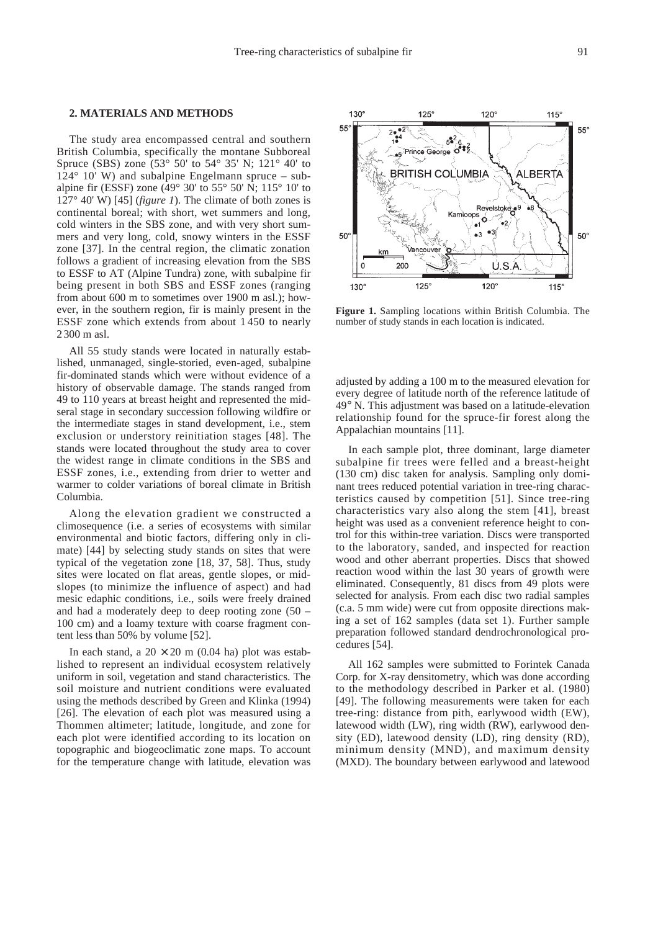# **2. MATERIALS AND METHODS**

The study area encompassed central and southern British Columbia, specifically the montane Subboreal Spruce (SBS) zone (53° 50' to 54° 35' N; 121° 40' to  $124^{\circ}$  10' W) and subalpine Engelmann spruce – subalpine fir (ESSF) zone (49 $\degree$  30' to 55 $\degree$  50' N; 115 $\degree$  10' to 127° 40' W) [45] (*figure 1*). The climate of both zones is continental boreal; with short, wet summers and long, cold winters in the SBS zone, and with very short summers and very long, cold, snowy winters in the ESSF zone [37]. In the central region, the climatic zonation follows a gradient of increasing elevation from the SBS to ESSF to AT (Alpine Tundra) zone, with subalpine fir being present in both SBS and ESSF zones (ranging from about 600 m to sometimes over 1900 m asl.); however, in the southern region, fir is mainly present in the ESSF zone which extends from about 1 450 to nearly 2 300 m asl.

All 55 study stands were located in naturally established, unmanaged, single-storied, even-aged, subalpine fir-dominated stands which were without evidence of a history of observable damage. The stands ranged from 49 to 110 years at breast height and represented the midseral stage in secondary succession following wildfire or the intermediate stages in stand development, i.e., stem exclusion or understory reinitiation stages [48]. The stands were located throughout the study area to cover the widest range in climate conditions in the SBS and ESSF zones, i.e., extending from drier to wetter and warmer to colder variations of boreal climate in British Columbia.

Along the elevation gradient we constructed a climosequence (i.e. a series of ecosystems with similar environmental and biotic factors, differing only in climate) [44] by selecting study stands on sites that were typical of the vegetation zone [18, 37, 58]. Thus, study sites were located on flat areas, gentle slopes, or midslopes (to minimize the influence of aspect) and had mesic edaphic conditions, i.e., soils were freely drained and had a moderately deep to deep rooting zone (50 – 100 cm) and a loamy texture with coarse fragment content less than 50% by volume [52].

In each stand, a  $20 \times 20$  m (0.04 ha) plot was established to represent an individual ecosystem relatively uniform in soil, vegetation and stand characteristics. The soil moisture and nutrient conditions were evaluated using the methods described by Green and Klinka (1994) [26]. The elevation of each plot was measured using a Thommen altimeter; latitude, longitude, and zone for each plot were identified according to its location on topographic and biogeoclimatic zone maps. To account for the temperature change with latitude, elevation was



**Figure 1.** Sampling locations within British Columbia. The number of study stands in each location is indicated.

adjusted by adding a 100 m to the measured elevation for every degree of latitude north of the reference latitude of 49° N. This adjustment was based on a latitude-elevation relationship found for the spruce-fir forest along the Appalachian mountains [11].

In each sample plot, three dominant, large diameter subalpine fir trees were felled and a breast-height (130 cm) disc taken for analysis. Sampling only dominant trees reduced potential variation in tree-ring characteristics caused by competition [51]. Since tree-ring characteristics vary also along the stem [41], breast height was used as a convenient reference height to control for this within-tree variation. Discs were transported to the laboratory, sanded, and inspected for reaction wood and other aberrant properties. Discs that showed reaction wood within the last 30 years of growth were eliminated. Consequently, 81 discs from 49 plots were selected for analysis. From each disc two radial samples (c.a. 5 mm wide) were cut from opposite directions making a set of 162 samples (data set 1). Further sample preparation followed standard dendrochronological procedures [54].

All 162 samples were submitted to Forintek Canada Corp. for X-ray densitometry, which was done according to the methodology described in Parker et al. (1980) [49]. The following measurements were taken for each tree-ring: distance from pith, earlywood width (EW), latewood width (LW), ring width (RW), earlywood density (ED), latewood density (LD), ring density (RD), minimum density (MND), and maximum density (MXD). The boundary between earlywood and latewood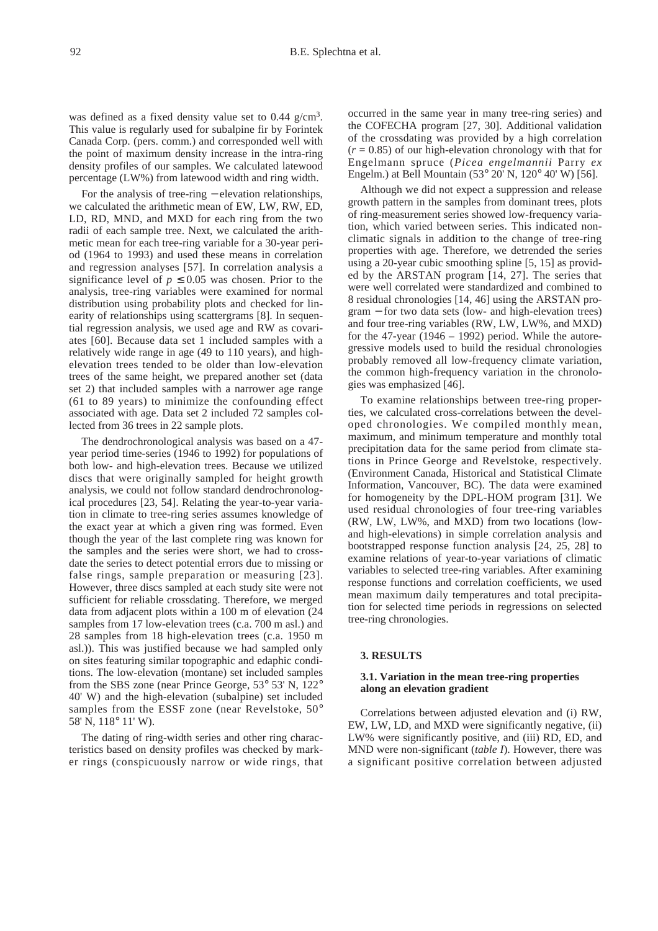was defined as a fixed density value set to  $0.44$  g/cm<sup>3</sup>. This value is regularly used for subalpine fir by Forintek Canada Corp. (pers. comm.) and corresponded well with the point of maximum density increase in the intra-ring density profiles of our samples. We calculated latewood percentage (LW%) from latewood width and ring width.

For the analysis of tree-ring − elevation relationships, we calculated the arithmetic mean of EW, LW, RW, ED, LD, RD, MND, and MXD for each ring from the two radii of each sample tree. Next, we calculated the arithmetic mean for each tree-ring variable for a 30-year period (1964 to 1993) and used these means in correlation and regression analyses [57]. In correlation analysis a significance level of  $p \le 0.05$  was chosen. Prior to the analysis, tree-ring variables were examined for normal distribution using probability plots and checked for linearity of relationships using scattergrams [8]. In sequential regression analysis, we used age and RW as covariates [60]. Because data set 1 included samples with a relatively wide range in age (49 to 110 years), and highelevation trees tended to be older than low-elevation trees of the same height, we prepared another set (data set 2) that included samples with a narrower age range (61 to 89 years) to minimize the confounding effect associated with age. Data set 2 included 72 samples collected from 36 trees in 22 sample plots.

The dendrochronological analysis was based on a 47 year period time-series (1946 to 1992) for populations of both low- and high-elevation trees. Because we utilized discs that were originally sampled for height growth analysis, we could not follow standard dendrochronological procedures [23, 54]. Relating the year-to-year variation in climate to tree-ring series assumes knowledge of the exact year at which a given ring was formed. Even though the year of the last complete ring was known for the samples and the series were short, we had to crossdate the series to detect potential errors due to missing or false rings, sample preparation or measuring [23]. However, three discs sampled at each study site were not sufficient for reliable crossdating. Therefore, we merged data from adjacent plots within a 100 m of elevation (24 samples from 17 low-elevation trees (c.a. 700 m asl.) and 28 samples from 18 high-elevation trees (c.a. 1950 m asl.)). This was justified because we had sampled only on sites featuring similar topographic and edaphic conditions. The low-elevation (montane) set included samples from the SBS zone (near Prince George, 53° 53' N, 122° 40' W) and the high-elevation (subalpine) set included samples from the ESSF zone (near Revelstoke, 50° 58' N, 118° 11' W).

The dating of ring-width series and other ring characteristics based on density profiles was checked by marker rings (conspicuously narrow or wide rings, that occurred in the same year in many tree-ring series) and the COFECHA program [27, 30]. Additional validation of the crossdating was provided by a high correlation  $(r = 0.85)$  of our high-elevation chronology with that for Engelmann spruce (*Picea engelmannii* Parry *ex* Engelm.) at Bell Mountain (53° 20' N, 120° 40' W) [56].

Although we did not expect a suppression and release growth pattern in the samples from dominant trees, plots of ring-measurement series showed low-frequency variation, which varied between series. This indicated nonclimatic signals in addition to the change of tree-ring properties with age. Therefore, we detrended the series using a 20-year cubic smoothing spline [5, 15] as provided by the ARSTAN program [14, 27]. The series that were well correlated were standardized and combined to 8 residual chronologies [14, 46] using the ARSTAN program − for two data sets (low- and high-elevation trees) and four tree-ring variables (RW, LW, LW%, and MXD) for the 47-year  $(1946 - 1992)$  period. While the autoregressive models used to build the residual chronologies probably removed all low-frequency climate variation, the common high-frequency variation in the chronologies was emphasized [46].

To examine relationships between tree-ring properties, we calculated cross-correlations between the developed chronologies. We compiled monthly mean, maximum, and minimum temperature and monthly total precipitation data for the same period from climate stations in Prince George and Revelstoke, respectively. (Environment Canada, Historical and Statistical Climate Information, Vancouver, BC). The data were examined for homogeneity by the DPL-HOM program [31]. We used residual chronologies of four tree-ring variables (RW, LW, LW%, and MXD) from two locations (lowand high-elevations) in simple correlation analysis and bootstrapped response function analysis [24, 25, 28] to examine relations of year-to-year variations of climatic variables to selected tree-ring variables. After examining response functions and correlation coefficients, we used mean maximum daily temperatures and total precipitation for selected time periods in regressions on selected tree-ring chronologies.

#### **3. RESULTS**

# **3.1. Variation in the mean tree-ring properties along an elevation gradient**

Correlations between adjusted elevation and (i) RW, EW, LW, LD, and MXD were significantly negative, (ii) LW% were significantly positive, and (iii) RD, ED, and MND were non-significant (*table I*). However, there was a significant positive correlation between adjusted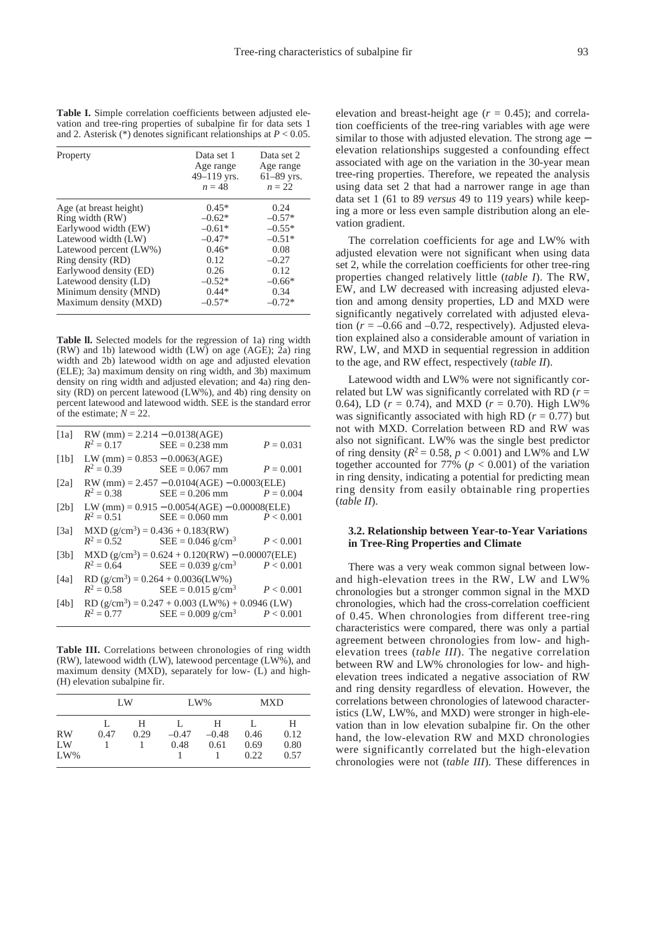**Table I.** Simple correlation coefficients between adjusted elevation and tree-ring properties of subalpine fir for data sets 1 and 2. Asterisk (\*) denotes significant relationships at *P* < 0.05.

| Property               | Data set 1<br>Age range<br>$49 - 119$ yrs.<br>$n = 48$ | Data set 2<br>Age range<br>$61 - 89$ yrs.<br>$n=22$ |
|------------------------|--------------------------------------------------------|-----------------------------------------------------|
| Age (at breast height) | $0.45*$                                                | 0.24                                                |
| Ring width (RW)        | $-0.62*$                                               | $-0.57*$                                            |
| Earlywood width (EW)   | $-0.61*$                                               | $-0.55*$                                            |
| Latewood width (LW)    | $-0.47*$                                               | $-0.51*$                                            |
| Latewood percent (LW%) | $0.46*$                                                | 0.08                                                |
| Ring density (RD)      | 0.12                                                   | $-0.27$                                             |
| Earlywood density (ED) | 0.26                                                   | 0.12                                                |
| Latewood density (LD)  | $-0.52*$                                               | $-0.66*$                                            |
| Minimum density (MND)  | $0.44*$                                                | 0.34                                                |
| Maximum density (MXD)  | $-0.57*$                                               | $-0.72*$                                            |

**Table ll.** Selected models for the regression of 1a) ring width (RW) and 1b) latewood width  $(LW)$  on age (AGE); 2a) ring width and 2b) latewood width on age and adjusted elevation (ELE); 3a) maximum density on ring width, and 3b) maximum density on ring width and adjusted elevation; and 4a) ring density (RD) on percent latewood (LW%), and 4b) ring density on percent latewood and latewood width. SEE is the standard error of the estimate;  $N = 22$ .

| $\lceil 1a \rceil$ |                                 | RW (mm) = $2.214 - 0.0138(AGE)$<br>$R^2 = 0.17$ SEE = 0.238 mm                                             | $P = 0.031$ |
|--------------------|---------------------------------|------------------------------------------------------------------------------------------------------------|-------------|
| [1b]               | LW (mm) = $0.853 - 0.0063(AGE)$ | $R^2 = 0.39$ SEE = 0.067 mm                                                                                | $P = 0.001$ |
| $\lceil 2a \rceil$ |                                 | $RW (mm) = 2.457 - 0.0104 (AGE) - 0.0003 (ELE)$<br>$R^2 = 0.38$ SEE = 0.206 mm $P = 0.004$                 |             |
| [2b]               |                                 | LW (mm) = $0.915 - 0.0054(AGE) - 0.00008(EEE)$<br>$R^2 = 0.51$ SEE = 0.060 mm $P < 0.001$                  |             |
| [3a]               |                                 | $MXD (g/cm3) = 0.436 + 0.183(RW)$<br>$R^2 = 0.52$ SEE = 0.046 g/cm <sup>3</sup> $P < 0.001$                |             |
| [3b]               |                                 | $MXD (g/cm3) = 0.624 + 0.120(RW) - 0.00007(ELE)$<br>$R^2 = 0.64$ SEE = 0.039 g/cm <sup>3</sup> $P < 0.001$ |             |
| [4a]               |                                 | RD $(g/cm^3)$ = 0.264 + 0.0036(LW%)<br>$R^2 = 0.58$ SEE = 0.015 g/cm <sup>3</sup> $P < 0.001$              |             |
| [4b]               |                                 | RD $(g/cm^3)$ = 0.247 + 0.003 (LW%) + 0.0946 (LW)                                                          |             |

 $R^2 = 0.77$  SEE = 0.009 g/cm<sup>3</sup>  $P < 0.001$ 

**Table III.** Correlations between chronologies of ring width  $(RW)$ , latewood width (LW), latewood percentage (LW%), and maximum density (MXD), separately for low- (L) and high- (H) elevation subalpine fir.

|           | LW   |           | $LW\%$  |              | <b>MXD</b> |           |
|-----------|------|-----------|---------|--------------|------------|-----------|
| <b>RW</b> | 0.47 | Н<br>0.29 | $-0.47$ | Н<br>$-0.48$ | 0.46       | H<br>0.12 |
| LW        |      |           | 0.48    | 0.61         | 0.69       | 0.80      |
| $LW\%$    |      |           |         |              | 0.22       | 0.57      |

elevation and breast-height age  $(r = 0.45)$ ; and correlation coefficients of the tree-ring variables with age were similar to those with adjusted elevation. The strong age − elevation relationships suggested a confounding effect associated with age on the variation in the 30-year mean tree-ring properties. Therefore, we repeated the analysis using data set 2 that had a narrower range in age than data set 1 (61 to 89 *versus* 49 to 119 years) while keeping a more or less even sample distribution along an elevation gradient.

The correlation coefficients for age and LW% with adjusted elevation were not significant when using data set 2, while the correlation coefficients for other tree-ring properties changed relatively little (*table I*). The RW, EW, and LW decreased with increasing adjusted elevation and among density properties, LD and MXD were significantly negatively correlated with adjusted elevation ( $r = -0.66$  and  $-0.72$ , respectively). Adjusted elevation explained also a considerable amount of variation in RW, LW, and MXD in sequential regression in addition to the age, and RW effect, respectively (*table II*).

Latewood width and LW% were not significantly correlated but LW was significantly correlated with RD  $(r =$ 0.64), LD ( $r = 0.74$ ), and MXD ( $r = 0.70$ ). High LW% was significantly associated with high RD ( $r = 0.77$ ) but not with MXD. Correlation between RD and RW was also not significant. LW% was the single best predictor of ring density ( $R^2 = 0.58$ ,  $p < 0.001$ ) and LW% and LW together accounted for 77% ( $p < 0.001$ ) of the variation in ring density, indicating a potential for predicting mean ring density from easily obtainable ring properties (*table II*).

### **3.2. Relationship between Year-to-Year Variations in Tree-Ring Properties and Climate**

There was a very weak common signal between lowand high-elevation trees in the RW, LW and LW% chronologies but a stronger common signal in the MXD chronologies, which had the cross-correlation coefficient of 0.45. When chronologies from different tree-ring characteristics were compared, there was only a partial agreement between chronologies from low- and highelevation trees (*table III*). The negative correlation between RW and LW% chronologies for low- and highelevation trees indicated a negative association of RW and ring density regardless of elevation. However, the correlations between chronologies of latewood characteristics (LW, LW%, and MXD) were stronger in high-elevation than in low elevation subalpine fir. On the other hand, the low-elevation RW and MXD chronologies were significantly correlated but the high-elevation chronologies were not (*table III*). These differences in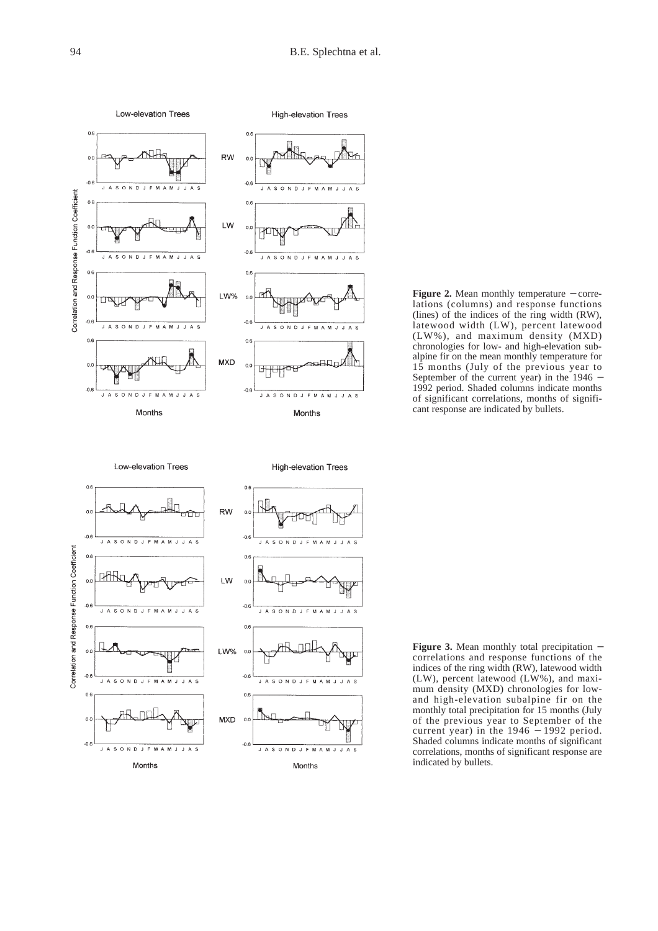$\overline{A}$ 



**Figure 2.** Mean monthly temperature − correlations (columns) and response functions (lines) of the indices of the ring width (RW), latewood width (LW), percent latewood (LW%), and maximum density (MXD) chronologies for low- and high-elevation subalpine fir on the mean monthly temperature for 15 months (July of the previous year to September of the current year) in the 1946 − 1992 period. Shaded columns indicate months of significant correlations, months of significant response are indicated by bullets.



Months

**Figure 3.** Mean monthly total precipitation − correlations and response functions of the indices of the ring width (RW), latewood width (LW), percent latewood (LW%), and maximum density (MXD) chronologies for lowand high-elevation subalpine fir on the monthly total precipitation for 15 months (July of the previous year to September of the current year) in the 1946 − 1992 period. Shaded columns indicate months of significant correlations, months of significant response are indicated by bullets.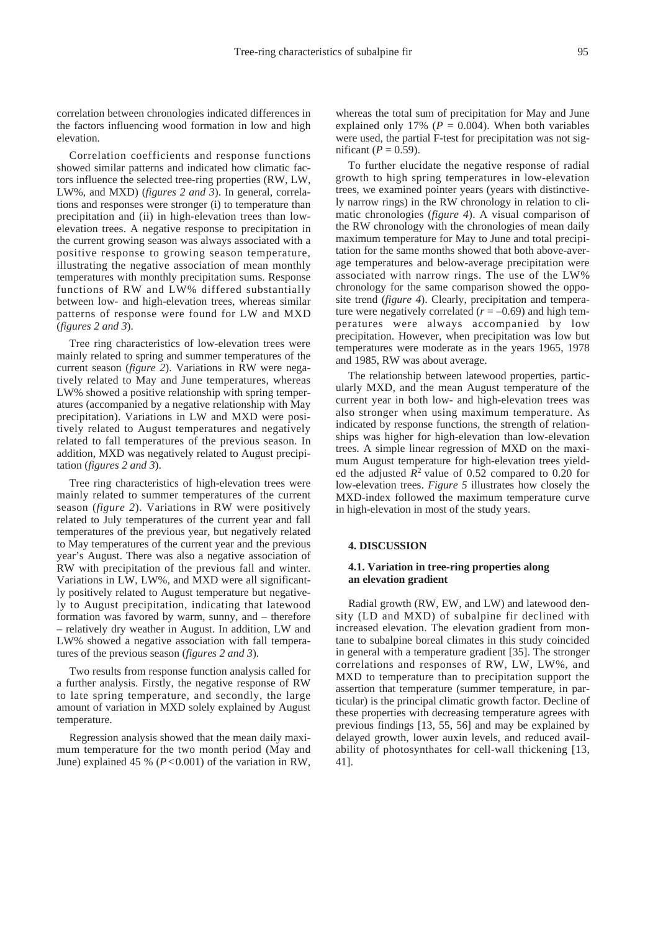correlation between chronologies indicated differences in the factors influencing wood formation in low and high elevation.

Correlation coefficients and response functions showed similar patterns and indicated how climatic factors influence the selected tree-ring properties (RW, LW, LW%, and MXD) (*figures 2 and 3*). In general, correlations and responses were stronger (i) to temperature than precipitation and (ii) in high-elevation trees than lowelevation trees. A negative response to precipitation in the current growing season was always associated with a positive response to growing season temperature, illustrating the negative association of mean monthly temperatures with monthly precipitation sums. Response functions of RW and LW% differed substantially between low- and high-elevation trees, whereas similar patterns of response were found for LW and MXD (*figures 2 and 3*).

Tree ring characteristics of low-elevation trees were mainly related to spring and summer temperatures of the current season (*figure 2*). Variations in RW were negatively related to May and June temperatures, whereas LW% showed a positive relationship with spring temperatures (accompanied by a negative relationship with May precipitation). Variations in LW and MXD were positively related to August temperatures and negatively related to fall temperatures of the previous season. In addition, MXD was negatively related to August precipitation (*figures 2 and 3*).

Tree ring characteristics of high-elevation trees were mainly related to summer temperatures of the current season (*figure 2*). Variations in RW were positively related to July temperatures of the current year and fall temperatures of the previous year, but negatively related to May temperatures of the current year and the previous year's August. There was also a negative association of RW with precipitation of the previous fall and winter. Variations in LW, LW%, and MXD were all significantly positively related to August temperature but negatively to August precipitation, indicating that latewood formation was favored by warm, sunny, and – therefore – relatively dry weather in August. In addition, LW and LW% showed a negative association with fall temperatures of the previous season (*figures 2 and 3*).

Two results from response function analysis called for a further analysis. Firstly, the negative response of RW to late spring temperature, and secondly, the large amount of variation in MXD solely explained by August temperature.

Regression analysis showed that the mean daily maximum temperature for the two month period (May and June) explained 45 % (*P*< 0.001) of the variation in RW, whereas the total sum of precipitation for May and June explained only 17% ( $P = 0.004$ ). When both variables were used, the partial F-test for precipitation was not significant ( $P = 0.59$ ).

To further elucidate the negative response of radial growth to high spring temperatures in low-elevation trees, we examined pointer years (years with distinctively narrow rings) in the RW chronology in relation to climatic chronologies (*figure 4*). A visual comparison of the RW chronology with the chronologies of mean daily maximum temperature for May to June and total precipitation for the same months showed that both above-average temperatures and below-average precipitation were associated with narrow rings. The use of the LW% chronology for the same comparison showed the opposite trend (*figure 4*). Clearly, precipitation and temperature were negatively correlated  $(r = -0.69)$  and high temperatures were always accompanied by low precipitation. However, when precipitation was low but temperatures were moderate as in the years 1965, 1978 and 1985, RW was about average.

The relationship between latewood properties, particularly MXD, and the mean August temperature of the current year in both low- and high-elevation trees was also stronger when using maximum temperature. As indicated by response functions, the strength of relationships was higher for high-elevation than low-elevation trees. A simple linear regression of MXD on the maximum August temperature for high-elevation trees yielded the adjusted  $R^2$  value of 0.52 compared to 0.20 for low-elevation trees. *Figure 5* illustrates how closely the MXD-index followed the maximum temperature curve in high-elevation in most of the study years.

#### **4. DISCUSSION**

# **4.1. Variation in tree-ring properties along an elevation gradient**

Radial growth (RW, EW, and LW) and latewood density (LD and MXD) of subalpine fir declined with increased elevation. The elevation gradient from montane to subalpine boreal climates in this study coincided in general with a temperature gradient [35]. The stronger correlations and responses of RW, LW, LW%, and MXD to temperature than to precipitation support the assertion that temperature (summer temperature, in particular) is the principal climatic growth factor. Decline of these properties with decreasing temperature agrees with previous findings [13, 55, 56] and may be explained by delayed growth, lower auxin levels, and reduced availability of photosynthates for cell-wall thickening [13, 41].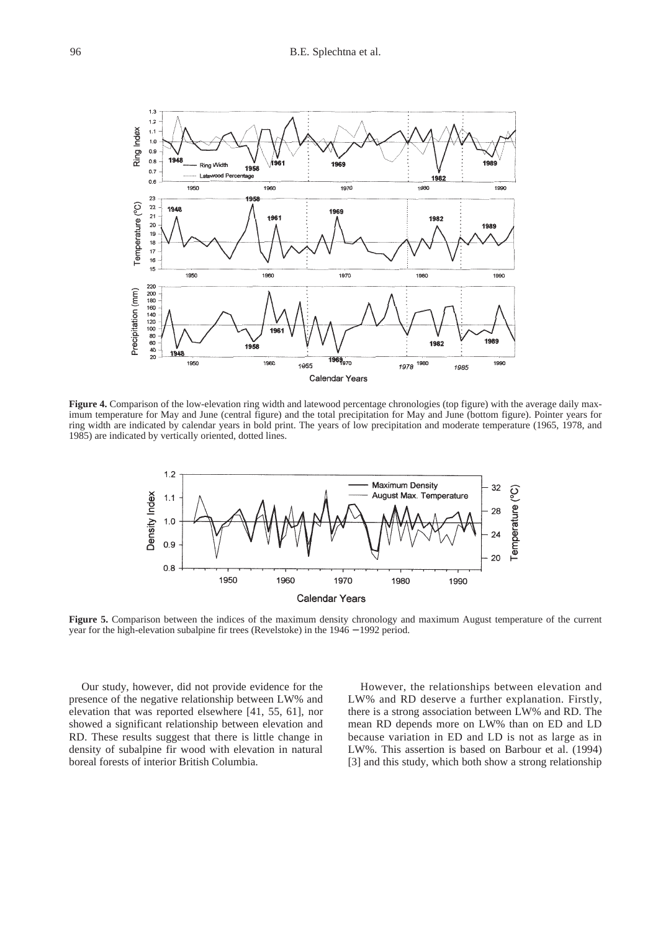

**Figure 4.** Comparison of the low-elevation ring width and latewood percentage chronologies (top figure) with the average daily maximum temperature for May and June (central figure) and the total precipitation for May and June (bottom figure). Pointer years for ring width are indicated by calendar years in bold print. The years of low precipitation and moderate temperature (1965, 1978, and 1985) are indicated by vertically oriented, dotted lines.



**Figure 5.** Comparison between the indices of the maximum density chronology and maximum August temperature of the current year for the high-elevation subalpine fir trees (Revelstoke) in the 1946 − 1992 period.

Our study, however, did not provide evidence for the presence of the negative relationship between LW% and elevation that was reported elsewhere [41, 55, 61], nor showed a significant relationship between elevation and RD. These results suggest that there is little change in density of subalpine fir wood with elevation in natural boreal forests of interior British Columbia.

However, the relationships between elevation and LW% and RD deserve a further explanation. Firstly, there is a strong association between LW% and RD. The mean RD depends more on LW% than on ED and LD because variation in ED and LD is not as large as in LW%. This assertion is based on Barbour et al. (1994) [3] and this study, which both show a strong relationship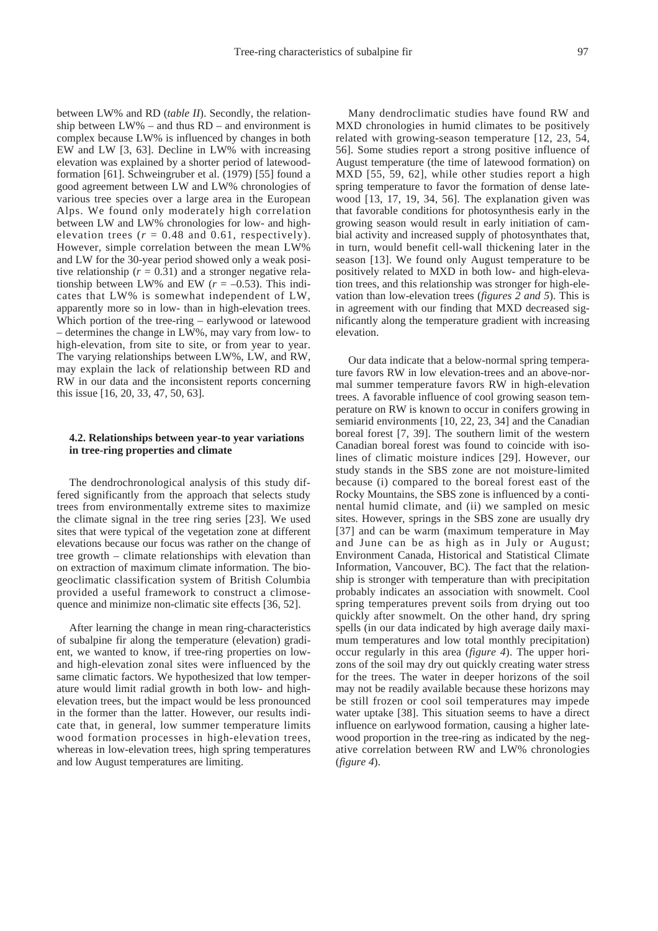between LW% and RD (*table II*). Secondly, the relationship between  $LW\%$  – and thus  $RD$  – and environment is complex because LW% is influenced by changes in both EW and LW [3, 63]. Decline in LW% with increasing elevation was explained by a shorter period of latewoodformation [61]. Schweingruber et al. (1979) [55] found a good agreement between LW and LW% chronologies of various tree species over a large area in the European Alps. We found only moderately high correlation between LW and LW% chronologies for low- and highelevation trees  $(r = 0.48$  and 0.61, respectively). However, simple correlation between the mean LW% and LW for the 30-year period showed only a weak positive relationship ( $r = 0.31$ ) and a stronger negative relationship between LW% and EW  $(r = -0.53)$ . This indicates that LW% is somewhat independent of LW, apparently more so in low- than in high-elevation trees. Which portion of the tree-ring – earlywood or latewood – determines the change in LW%, may vary from low- to high-elevation, from site to site, or from year to year. The varying relationships between LW%, LW, and RW, may explain the lack of relationship between RD and RW in our data and the inconsistent reports concerning this issue [16, 20, 33, 47, 50, 63].

### **4.2. Relationships between year-to year variations in tree-ring properties and climate**

The dendrochronological analysis of this study differed significantly from the approach that selects study trees from environmentally extreme sites to maximize the climate signal in the tree ring series [23]. We used sites that were typical of the vegetation zone at different elevations because our focus was rather on the change of tree growth – climate relationships with elevation than on extraction of maximum climate information. The biogeoclimatic classification system of British Columbia provided a useful framework to construct a climosequence and minimize non-climatic site effects [36, 52].

After learning the change in mean ring-characteristics of subalpine fir along the temperature (elevation) gradient, we wanted to know, if tree-ring properties on lowand high-elevation zonal sites were influenced by the same climatic factors. We hypothesized that low temperature would limit radial growth in both low- and highelevation trees, but the impact would be less pronounced in the former than the latter. However, our results indicate that, in general, low summer temperature limits wood formation processes in high-elevation trees, whereas in low-elevation trees, high spring temperatures and low August temperatures are limiting.

Many dendroclimatic studies have found RW and MXD chronologies in humid climates to be positively related with growing-season temperature [12, 23, 54, 56]. Some studies report a strong positive influence of August temperature (the time of latewood formation) on MXD [55, 59, 62], while other studies report a high spring temperature to favor the formation of dense latewood [13, 17, 19, 34, 56]. The explanation given was that favorable conditions for photosynthesis early in the growing season would result in early initiation of cambial activity and increased supply of photosynthates that, in turn, would benefit cell-wall thickening later in the season [13]. We found only August temperature to be positively related to MXD in both low- and high-elevation trees, and this relationship was stronger for high-elevation than low-elevation trees (*figures 2 and 5*). This is in agreement with our finding that MXD decreased significantly along the temperature gradient with increasing elevation.

Our data indicate that a below-normal spring temperature favors RW in low elevation-trees and an above-normal summer temperature favors RW in high-elevation trees. A favorable influence of cool growing season temperature on RW is known to occur in conifers growing in semiarid environments [10, 22, 23, 34] and the Canadian boreal forest [7, 39]. The southern limit of the western Canadian boreal forest was found to coincide with isolines of climatic moisture indices [29]. However, our study stands in the SBS zone are not moisture-limited because (i) compared to the boreal forest east of the Rocky Mountains, the SBS zone is influenced by a continental humid climate, and (ii) we sampled on mesic sites. However, springs in the SBS zone are usually dry [37] and can be warm (maximum temperature in May and June can be as high as in July or August; Environment Canada, Historical and Statistical Climate Information, Vancouver, BC). The fact that the relationship is stronger with temperature than with precipitation probably indicates an association with snowmelt. Cool spring temperatures prevent soils from drying out too quickly after snowmelt. On the other hand, dry spring spells (in our data indicated by high average daily maximum temperatures and low total monthly precipitation) occur regularly in this area (*figure 4*). The upper horizons of the soil may dry out quickly creating water stress for the trees. The water in deeper horizons of the soil may not be readily available because these horizons may be still frozen or cool soil temperatures may impede water uptake [38]. This situation seems to have a direct influence on earlywood formation, causing a higher latewood proportion in the tree-ring as indicated by the negative correlation between RW and LW% chronologies (*figure 4*).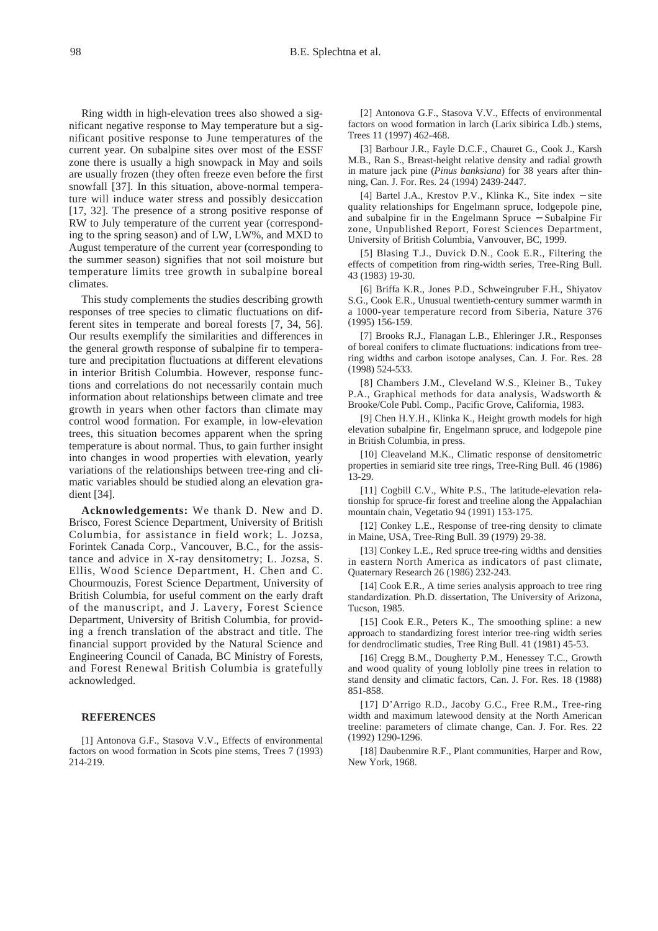Ring width in high-elevation trees also showed a significant negative response to May temperature but a significant positive response to June temperatures of the current year. On subalpine sites over most of the ESSF zone there is usually a high snowpack in May and soils are usually frozen (they often freeze even before the first snowfall [37]. In this situation, above-normal temperature will induce water stress and possibly desiccation [17, 32]. The presence of a strong positive response of RW to July temperature of the current year (corresponding to the spring season) and of LW, LW%, and MXD to August temperature of the current year (corresponding to the summer season) signifies that not soil moisture but temperature limits tree growth in subalpine boreal climates.

This study complements the studies describing growth responses of tree species to climatic fluctuations on different sites in temperate and boreal forests [7, 34, 56]. Our results exemplify the similarities and differences in the general growth response of subalpine fir to temperature and precipitation fluctuations at different elevations in interior British Columbia. However, response functions and correlations do not necessarily contain much information about relationships between climate and tree growth in years when other factors than climate may control wood formation. For example, in low-elevation trees, this situation becomes apparent when the spring temperature is about normal. Thus, to gain further insight into changes in wood properties with elevation, yearly variations of the relationships between tree-ring and climatic variables should be studied along an elevation gradient [34].

**Acknowledgements:** We thank D. New and D. Brisco, Forest Science Department, University of British Columbia, for assistance in field work; L. Jozsa, Forintek Canada Corp., Vancouver, B.C., for the assistance and advice in X-ray densitometry; L. Jozsa, S. Ellis, Wood Science Department, H. Chen and C. Chourmouzis, Forest Science Department, University of British Columbia, for useful comment on the early draft of the manuscript, and J. Lavery, Forest Science Department, University of British Columbia, for providing a french translation of the abstract and title. The financial support provided by the Natural Science and Engineering Council of Canada, BC Ministry of Forests, and Forest Renewal British Columbia is gratefully acknowledged.

# **REFERENCES**

[1] Antonova G.F., Stasova V.V., Effects of environmental factors on wood formation in Scots pine stems, Trees 7 (1993) 214-219.

[2] Antonova G.F., Stasova V.V., Effects of environmental factors on wood formation in larch (Larix sibirica Ldb.) stems, Trees 11 (1997) 462-468.

[3] Barbour J.R., Fayle D.C.F., Chauret G., Cook J., Karsh M.B., Ran S., Breast-height relative density and radial growth in mature jack pine (*Pinus banksiana*) for 38 years after thinning, Can. J. For. Res. 24 (1994) 2439-2447.

[4] Bartel J.A., Krestov P.V., Klinka K., Site index − site quality relationships for Engelmann spruce, lodgepole pine, and subalpine fir in the Engelmann Spruce − Subalpine Fir zone, Unpublished Report, Forest Sciences Department, University of British Columbia, Vanvouver, BC, 1999.

[5] Blasing T.J., Duvick D.N., Cook E.R., Filtering the effects of competition from ring-width series, Tree-Ring Bull. 43 (1983) 19-30.

[6] Briffa K.R., Jones P.D., Schweingruber F.H., Shiyatov S.G., Cook E.R., Unusual twentieth-century summer warmth in a 1000-year temperature record from Siberia, Nature 376 (1995) 156-159.

[7] Brooks R.J., Flanagan L.B., Ehleringer J.R., Responses of boreal conifers to climate fluctuations: indications from treering widths and carbon isotope analyses, Can. J. For. Res. 28 (1998) 524-533.

[8] Chambers J.M., Cleveland W.S., Kleiner B., Tukey P.A., Graphical methods for data analysis, Wadsworth & Brooke/Cole Publ. Comp., Pacific Grove, California, 1983.

[9] Chen H.Y.H., Klinka K., Height growth models for high elevation subalpine fir, Engelmann spruce, and lodgepole pine in British Columbia, in press.

[10] Cleaveland M.K., Climatic response of densitometric properties in semiarid site tree rings, Tree-Ring Bull. 46 (1986) 13-29.

[11] Cogbill C.V., White P.S., The latitude-elevation relationship for spruce-fir forest and treeline along the Appalachian mountain chain, Vegetatio 94 (1991) 153-175.

[12] Conkey L.E., Response of tree-ring density to climate in Maine, USA, Tree-Ring Bull. 39 (1979) 29-38.

[13] Conkey L.E., Red spruce tree-ring widths and densities in eastern North America as indicators of past climate, Quaternary Research 26 (1986) 232-243.

[14] Cook E.R., A time series analysis approach to tree ring standardization. Ph.D. dissertation, The University of Arizona, Tucson, 1985.

[15] Cook E.R., Peters K., The smoothing spline: a new approach to standardizing forest interior tree-ring width series for dendroclimatic studies, Tree Ring Bull. 41 (1981) 45-53.

[16] Cregg B.M., Dougherty P.M., Henessey T.C., Growth and wood quality of young loblolly pine trees in relation to stand density and climatic factors, Can. J. For. Res. 18 (1988) 851-858.

[17] D'Arrigo R.D., Jacoby G.C., Free R.M., Tree-ring width and maximum latewood density at the North American treeline: parameters of climate change, Can. J. For. Res. 22 (1992) 1290-1296.

[18] Daubenmire R.F., Plant communities, Harper and Row, New York, 1968.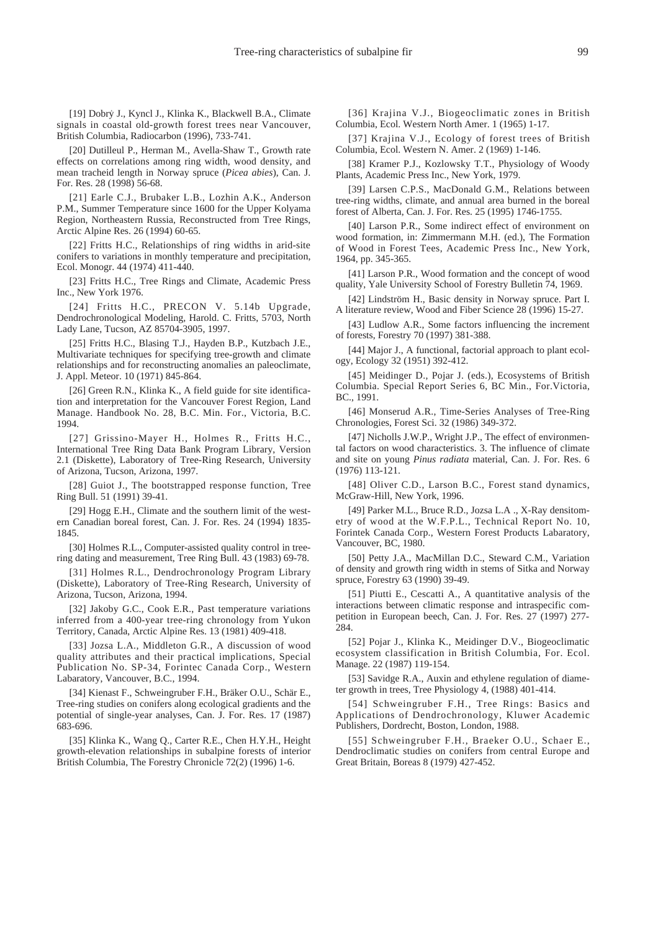[19] Dobry J., Kyncl J., Klinka K., Blackwell B.A., Climate signals in coastal old-growth forest trees near Vancouver, British Columbia, Radiocarbon (1996), 733-741.

[20] Dutilleul P., Herman M., Avella-Shaw T., Growth rate effects on correlations among ring width, wood density, and mean tracheid length in Norway spruce (*Picea abies*), Can. J. For. Res. 28 (1998) 56-68.

[21] Earle C.J., Brubaker L.B., Lozhin A.K., Anderson P.M., Summer Temperature since 1600 for the Upper Kolyama Region, Northeastern Russia, Reconstructed from Tree Rings, Arctic Alpine Res. 26 (1994) 60-65.

[22] Fritts H.C., Relationships of ring widths in arid-site conifers to variations in monthly temperature and precipitation, Ecol. Monogr. 44 (1974) 411-440.

[23] Fritts H.C., Tree Rings and Climate, Academic Press Inc., New York 1976.

[24] Fritts H.C., PRECON V. 5.14b Upgrade, Dendrochronological Modeling, Harold. C. Fritts, 5703, North Lady Lane, Tucson, AZ 85704-3905, 1997.

[25] Fritts H.C., Blasing T.J., Hayden B.P., Kutzbach J.E., Multivariate techniques for specifying tree-growth and climate relationships and for reconstructing anomalies an paleoclimate, J. Appl. Meteor. 10 (1971) 845-864.

[26] Green R.N., Klinka K., A field guide for site identification and interpretation for the Vancouver Forest Region, Land Manage. Handbook No. 28, B.C. Min. For., Victoria, B.C. 1994.

[27] Grissino-Mayer H., Holmes R., Fritts H.C., International Tree Ring Data Bank Program Library, Version 2.1 (Diskette), Laboratory of Tree-Ring Research, University of Arizona, Tucson, Arizona, 1997.

[28] Guiot J., The bootstrapped response function, Tree Ring Bull. 51 (1991) 39-41.

[29] Hogg E.H., Climate and the southern limit of the western Canadian boreal forest, Can. J. For. Res. 24 (1994) 1835- 1845.

[30] Holmes R.L., Computer-assisted quality control in treering dating and measurement, Tree Ring Bull. 43 (1983) 69-78.

[31] Holmes R.L., Dendrochronology Program Library (Diskette), Laboratory of Tree-Ring Research, University of Arizona, Tucson, Arizona, 1994.

[32] Jakoby G.C., Cook E.R., Past temperature variations inferred from a 400-year tree-ring chronology from Yukon Territory, Canada, Arctic Alpine Res. 13 (1981) 409-418.

[33] Jozsa L.A., Middleton G.R., A discussion of wood quality attributes and their practical implications, Special Publication No. SP-34, Forintec Canada Corp., Western Labaratory, Vancouver, B.C., 1994.

[34] Kienast F., Schweingruber F.H., Bräker O.U., Schär E., Tree-ring studies on conifers along ecological gradients and the potential of single-year analyses, Can. J. For. Res. 17 (1987) 683-696.

[35] Klinka K., Wang Q., Carter R.E., Chen H.Y.H., Height growth-elevation relationships in subalpine forests of interior British Columbia, The Forestry Chronicle 72(2) (1996) 1-6.

[36] Krajina V.J., Biogeoclimatic zones in British Columbia, Ecol. Western North Amer. 1 (1965) 1-17.

[37] Krajina V.J., Ecology of forest trees of British Columbia, Ecol. Western N. Amer. 2 (1969) 1-146.

[38] Kramer P.J., Kozlowsky T.T., Physiology of Woody Plants, Academic Press Inc., New York, 1979.

[39] Larsen C.P.S., MacDonald G.M., Relations between tree-ring widths, climate, and annual area burned in the boreal forest of Alberta, Can. J. For. Res. 25 (1995) 1746-1755.

[40] Larson P.R., Some indirect effect of environment on wood formation, in: Zimmermann M.H. (ed.), The Formation of Wood in Forest Tees, Academic Press Inc., New York, 1964, pp. 345-365.

[41] Larson P.R., Wood formation and the concept of wood quality, Yale University School of Forestry Bulletin 74, 1969.

[42] Lindström H., Basic density in Norway spruce. Part I. A literature review, Wood and Fiber Science 28 (1996) 15-27.

[43] Ludlow A.R., Some factors influencing the increment of forests, Forestry 70 (1997) 381-388.

[44] Major J., A functional, factorial approach to plant ecology, Ecology 32 (1951) 392-412.

[45] Meidinger D., Pojar J. (eds.), Ecosystems of British Columbia. Special Report Series 6, BC Min., For.Victoria, BC., 1991.

[46] Monserud A.R., Time-Series Analyses of Tree-Ring Chronologies, Forest Sci. 32 (1986) 349-372.

[47] Nicholls J.W.P., Wright J.P., The effect of environmental factors on wood characteristics. 3. The influence of climate and site on young *Pinus radiata* material, Can. J. For. Res. 6 (1976) 113-121.

[48] Oliver C.D., Larson B.C., Forest stand dynamics, McGraw-Hill, New York, 1996.

[49] Parker M.L., Bruce R.D., Jozsa L.A ., X-Ray densitometry of wood at the W.F.P.L., Technical Report No. 10, Forintek Canada Corp., Western Forest Products Labaratory, Vancouver, BC, 1980.

[50] Petty J.A., MacMillan D.C., Steward C.M., Variation of density and growth ring width in stems of Sitka and Norway spruce, Forestry 63 (1990) 39-49.

[51] Piutti E., Cescatti A., A quantitative analysis of the interactions between climatic response and intraspecific competition in European beech, Can. J. For. Res. 27 (1997) 277- 284.

[52] Pojar J., Klinka K., Meidinger D.V., Biogeoclimatic ecosystem classification in British Columbia, For. Ecol. Manage. 22 (1987) 119-154.

[53] Savidge R.A., Auxin and ethylene regulation of diameter growth in trees, Tree Physiology 4, (1988) 401-414.

[54] Schweingruber F.H., Tree Rings: Basics and Applications of Dendrochronology, Kluwer Academic Publishers, Dordrecht, Boston, London, 1988.

[55] Schweingruber F.H., Braeker O.U., Schaer E., Dendroclimatic studies on conifers from central Europe and Great Britain, Boreas 8 (1979) 427-452.